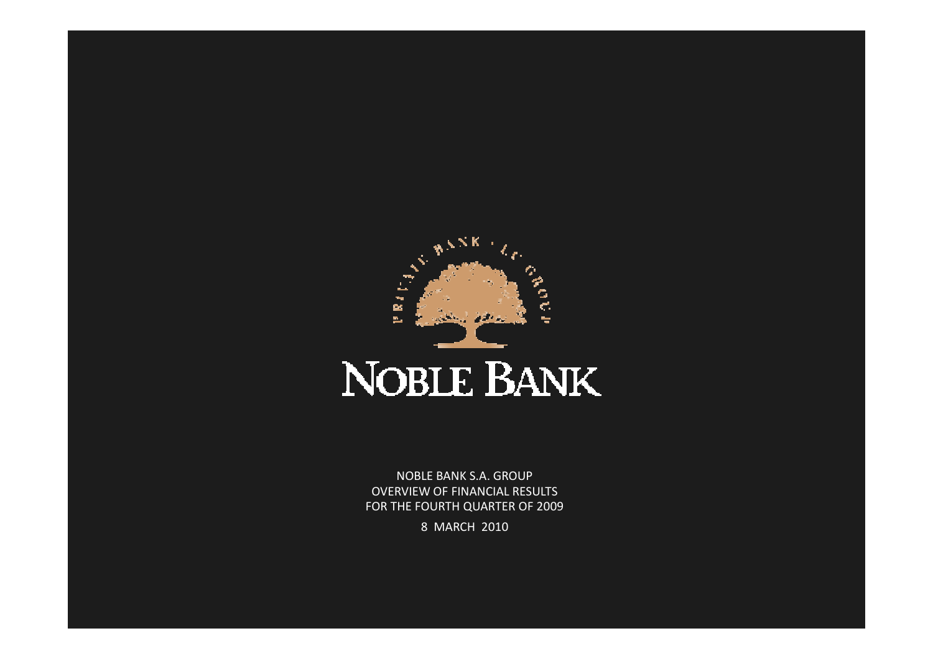

NOBLE BANK S.A. GROUP OVERVIEW OF FINANCIAL RESULTSFOR THE FOURTH QUARTER OF 2009

8 MARCH 2010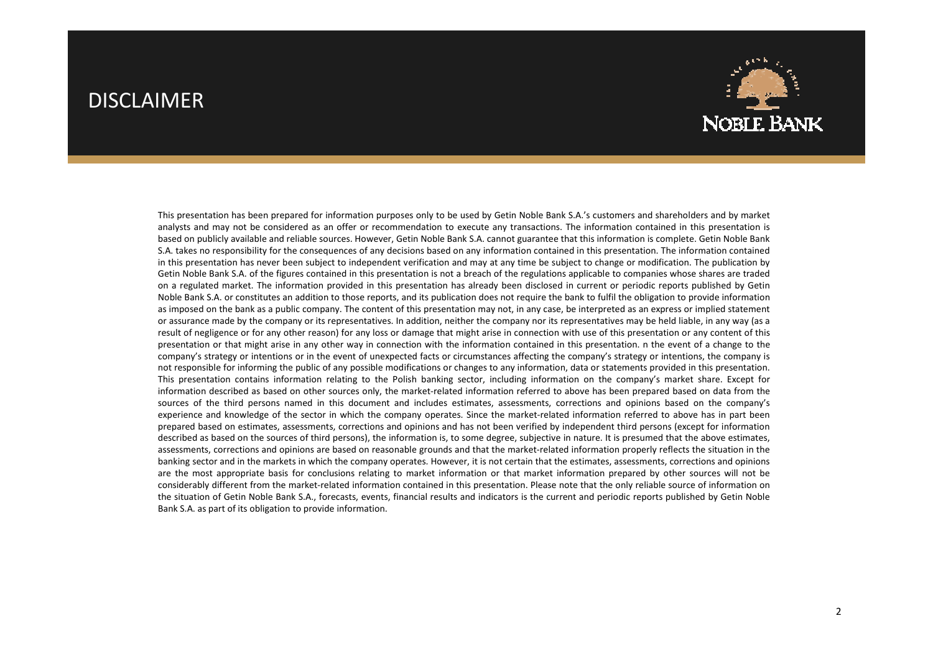#### DISCLAIMER



This presentation has been prepared for information purposes only to be used by Getin Noble Bank S.A.'s customers and shareholders and by market analysts and may not be considered as an offer or recommendation to execute any transactions. The information contained in this presentation is based on publicly available and reliable sources. However, Getin Noble Bank S.A. cannot guarantee that this information is complete. Getin Noble Bank S.A. takes no responsibility for the consequences of any decisions based on any information contained in this presentation. The information contained in this presentation has never been subject to independent verification and may at any time be subject to change or modification. The publication by Getin Noble Bank S.A. of the figures contained in this presentation is not <sup>a</sup> breach of the regulations applicable to companies whose shares are traded on <sup>a</sup> regulated market. The information provided in this presentation has already been disclosed in current or periodic reports published by Getin Noble Bank S.A. or constitutes an addition to those reports, and its publication does not require the bank to fulfil the obligation to provide information as imposed on the bank as <sup>a</sup> public company. The content of this presentation may not, in any case, be interpreted as an express or implied statement or assurance made by the company or its representatives. In addition, neither the company nor its representatives may be held liable, in any way (as <sup>a</sup> result of negligence or for any other reason) for any loss or damage that might arise in connection with use of this presentation or any content of this presentation or that might arise in any other way in connection with the information contained in this presentation. <sup>n</sup> the event of <sup>a</sup> change to the company's strategy or intentions or in the event of unexpected facts or circumstances affecting the company's strategy or intentions, the company is not responsible for informing the public of any possible modifications or changes to any information, data or statements provided in this presentation. This presentation contains information relating to the Polish banking sector, including information on the company's market share. Except for information described as based on other sources only, the market-related information referred to above has been prepared based on data from the sources of the third persons named in this document and includes estimates, assessments, corrections and opinions based on the company's experience and knowledge of the sector in which the company operates. Since the market-related information referred to above has in part been prepared based on estimates, assessments, corrections and opinions and has not been verified by independent third persons (except for information described as based on the sources of third persons), the information is, to some degree, subjective in nature. It is presumed that the above estimates, assessments, corrections and opinions are based on reasonable grounds and that the market-related information properly reflects the situation in the banking sector and in the markets in which the company operates. However, it is not certain that the estimates, assessments, corrections and opinions are the most appropriate basis for conclusions relating to market information or that market information prepared by other sources will not be considerably different from the market-related information contained in this presentation. Please note that the only reliable source of information on the situation of Getin Noble Bank S.A., forecasts, events, financial results and indicators is the current and periodic reports published by Getin Noble Bank S.A. as part of its obligation to provide information.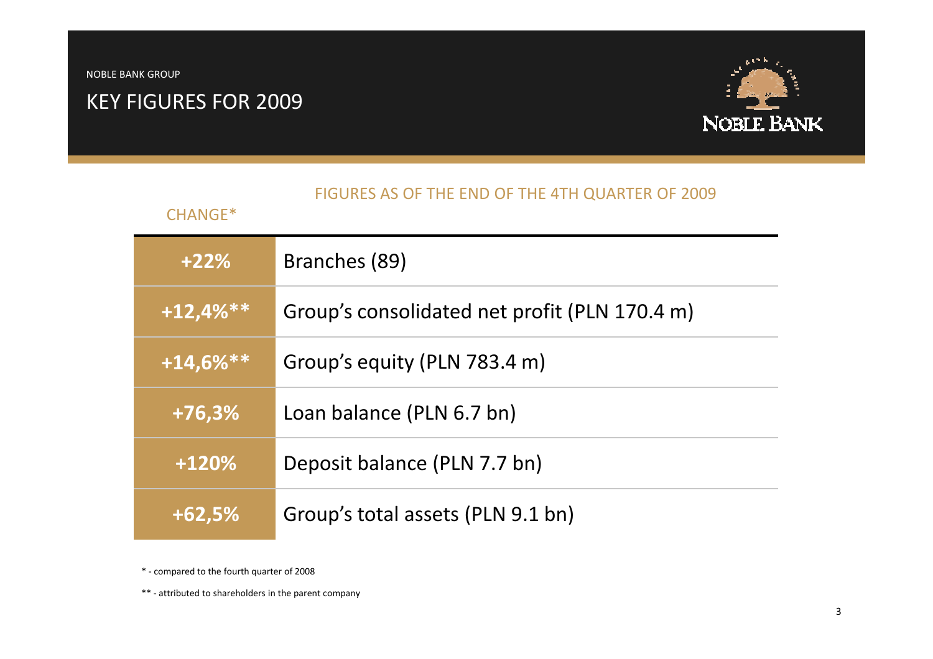#### KEY FIGURES FOR 2009



#### FIGURES AS OF THE END OF THE 4TH QUARTER OF 2009

#### CHANGE\*

| $+22%$       | Branches (89)                                 |
|--------------|-----------------------------------------------|
| $+12,4%$ **  | Group's consolidated net profit (PLN 170.4 m) |
| $+14,6\%$ ** | Group's equity (PLN 783.4 m)                  |
| $+76,3%$     | Loan balance (PLN 6.7 bn)                     |
| $+120%$      | Deposit balance (PLN 7.7 bn)                  |
| $+62,5%$     | Group's total assets (PLN 9.1 bn)             |

\* - compared to the fourth quarter of 2008

\*\* - attributed to shareholders in the parent company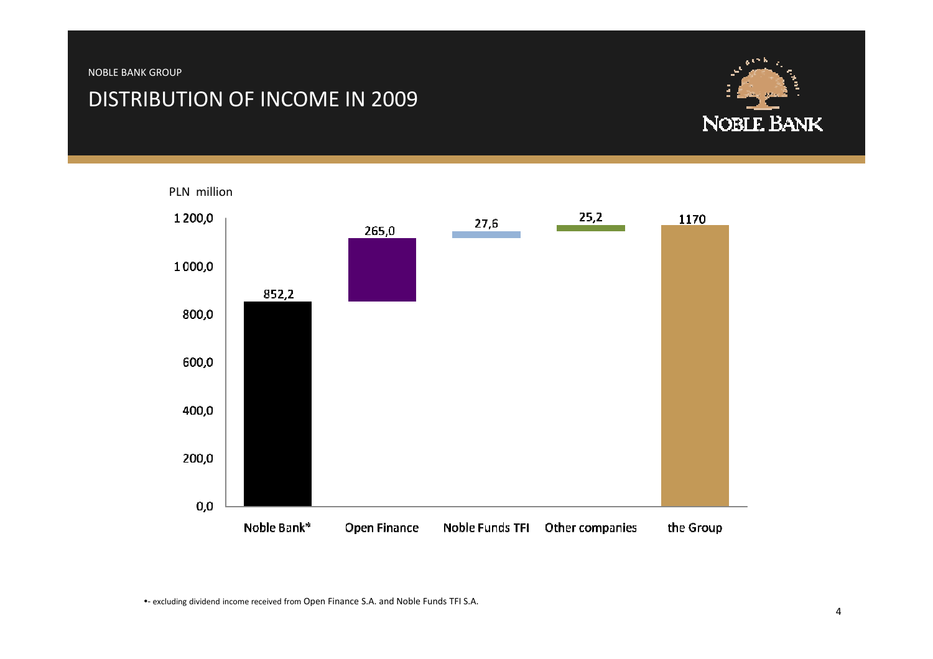#### DISTRIBUTION OF INCOME IN 2009





•- excluding dividend income received from Open Finance S.A. and Noble Funds TFI S.A.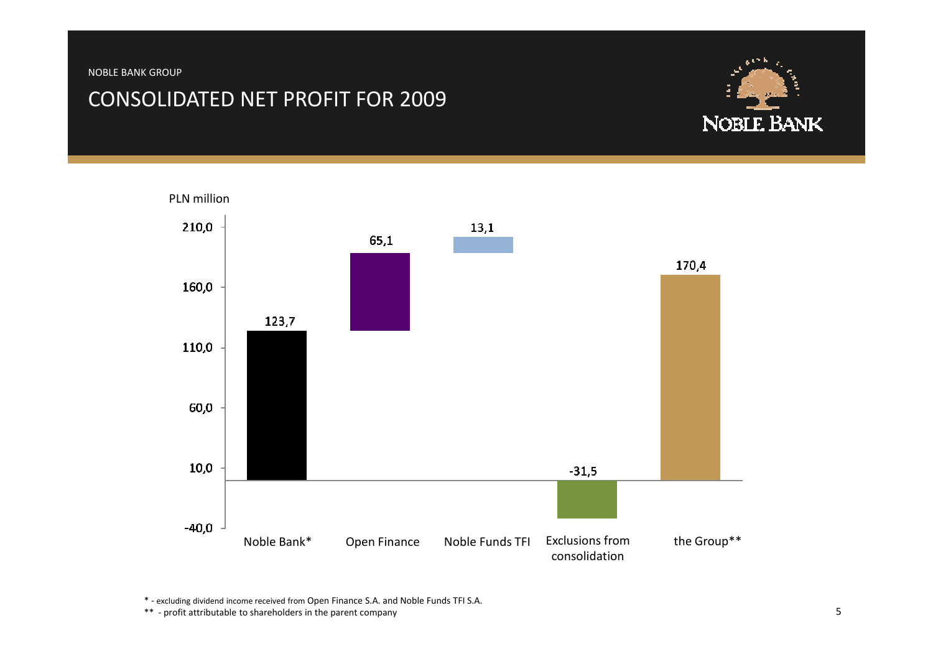#### CONSOLIDATED NET PROFIT FOR 2009





\* - excluding dividend income received from Open Finance S.A. and Noble Funds TFI S.A.

\*\* - profit attributable to shareholders in the parent company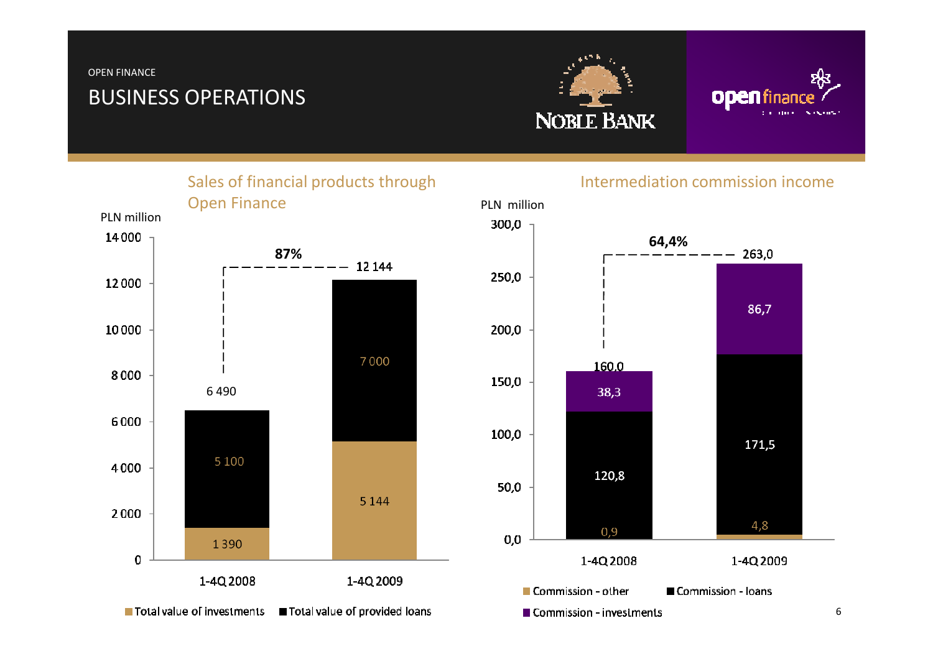#### OPEN FINANCE

# BUSINESS OPERATIONS





Sales of financial products through Open FinancePLN million14000 87% $-12144$ 12000 10000 7000 8000 6 4906000 5 1 0 0 4000 5 1 4 4 2000 1390  $\mathbf{0}$ 1-4Q 2008 1-4Q 2009



#### Intermediation commission income

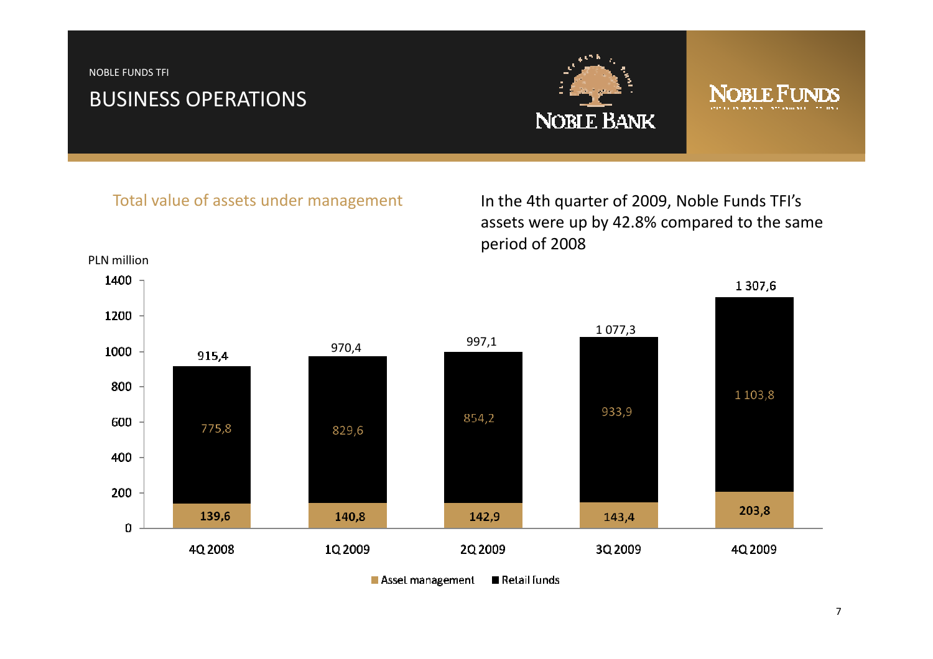NOBLE FUNDS TFI

# BUSINESS OPERATIONS



# ORI F H

#### Total value of assets under management

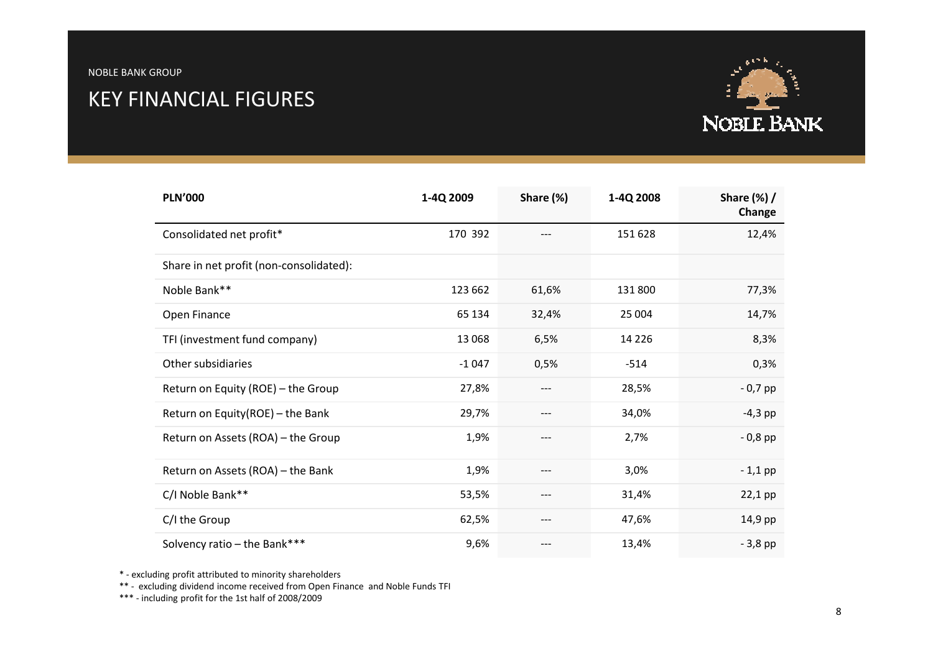## KEY FINANCIAL FIGURES



| <b>PLN'000</b>                          | 1-4Q 2009 | Share (%) | 1-4Q 2008 | Share $(\%)$ /<br>Change |
|-----------------------------------------|-----------|-----------|-----------|--------------------------|
| Consolidated net profit*                | 170 392   |           | 151 628   | 12,4%                    |
| Share in net profit (non-consolidated): |           |           |           |                          |
| Noble Bank**                            | 123 662   | 61,6%     | 131800    | 77,3%                    |
| Open Finance                            | 65 134    | 32,4%     | 25 004    | 14,7%                    |
| TFI (investment fund company)           | 13 0 68   | 6,5%      | 14 2 2 6  | 8,3%                     |
| Other subsidiaries                      | $-1047$   | 0,5%      | $-514$    | 0,3%                     |
| Return on Equity (ROE) - the Group      | 27,8%     | $---$     | 28,5%     | $-0,7$ pp                |
| Return on Equity(ROE) - the Bank        | 29,7%     | $---$     | 34,0%     | $-4,3$ pp                |
| Return on Assets (ROA) - the Group      | 1,9%      | $---$     | 2,7%      | $-0,8$ pp                |
| Return on Assets (ROA) - the Bank       | 1,9%      | $---$     | 3,0%      | $-1,1$ pp                |
| C/I Noble Bank**                        | 53,5%     | ---       | 31,4%     | 22,1 pp                  |
| C/I the Group                           | 62,5%     | $---$     | 47,6%     | 14,9 pp                  |
| Solvency ratio - the Bank***            | 9,6%      | ---       | 13,4%     | $-3,8$ pp                |

\* - excluding profit attributed to minority shareholders

\*\* - excluding dividend income received from Open Finance and Noble Funds TFI

\*\*\* - including profit for the 1st half of 2008/2009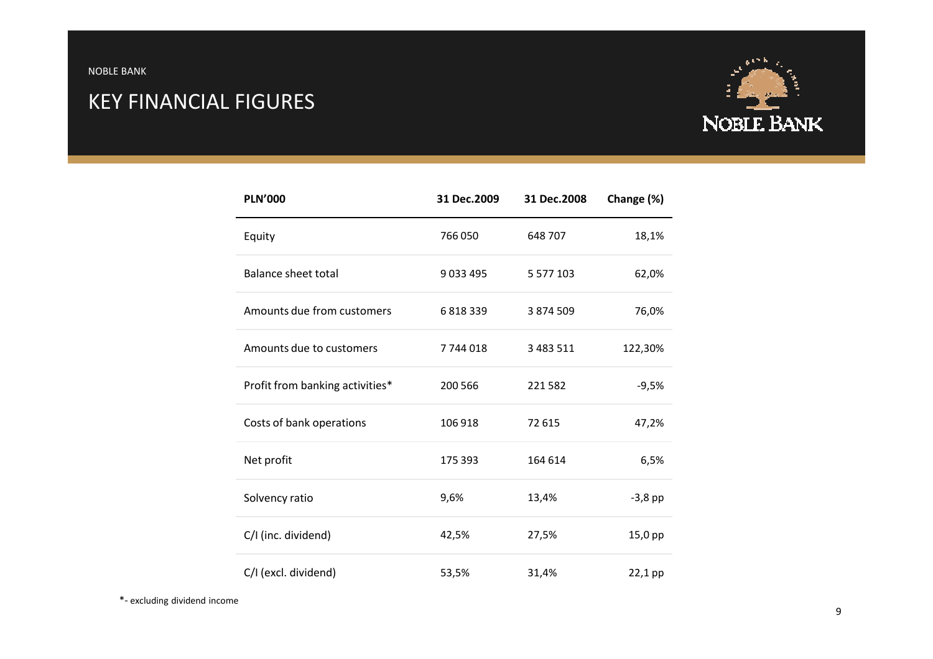NOBLE BANK

# KEY FINANCIAL FIGURES



| <b>PLN'000</b>                  | 31 Dec.2009 | 31 Dec.2008   | Change (%) |
|---------------------------------|-------------|---------------|------------|
| Equity                          | 766 050     | 648 707       | 18,1%      |
| <b>Balance sheet total</b>      | 9033495     | 5 5 7 7 1 0 3 | 62,0%      |
| Amounts due from customers      | 6818339     | 3 874 509     | 76,0%      |
| Amounts due to customers        | 7744018     | 3 4 8 3 5 1 1 | 122,30%    |
| Profit from banking activities* | 200 566     | 221582        | $-9,5%$    |
| Costs of bank operations        | 106 918     | 72 615        | 47,2%      |
| Net profit                      | 175 393     | 164 614       | 6,5%       |
| Solvency ratio                  | 9,6%        | 13,4%         | $-3,8$ pp  |
| C/I (inc. dividend)             | 42,5%       | 27,5%         | 15,0 pp    |
| C/I (excl. dividend)            | 53,5%       | 31,4%         | 22,1 pp    |

\*- excluding dividend income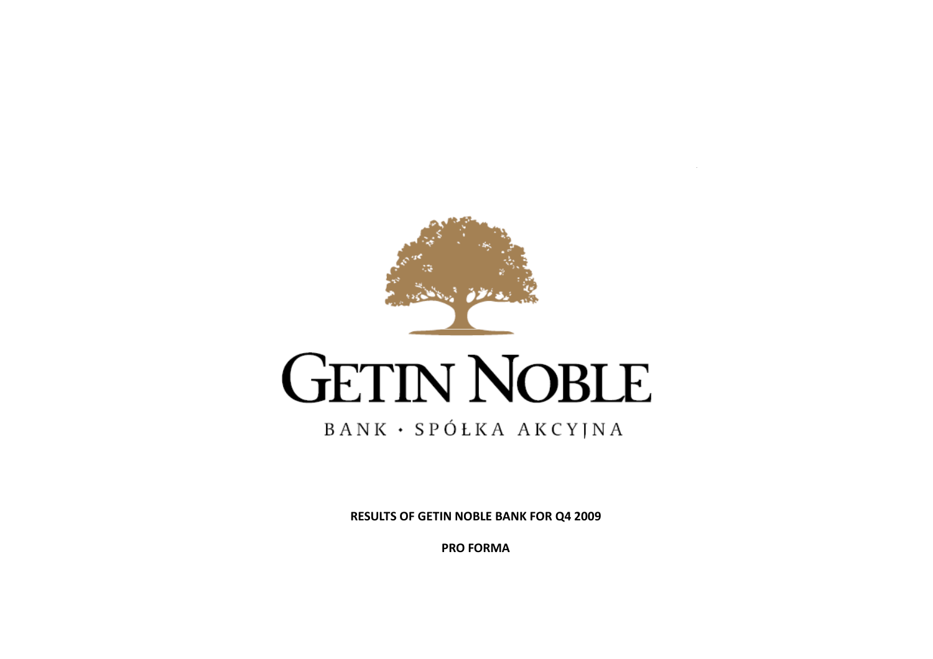

# **GETIN NOBLE**

#### BANK · SPÓŁKA AKCYJNA

RESULTS OF GETIN NOBLE BANK FOR Q4 2009

PRO FORMA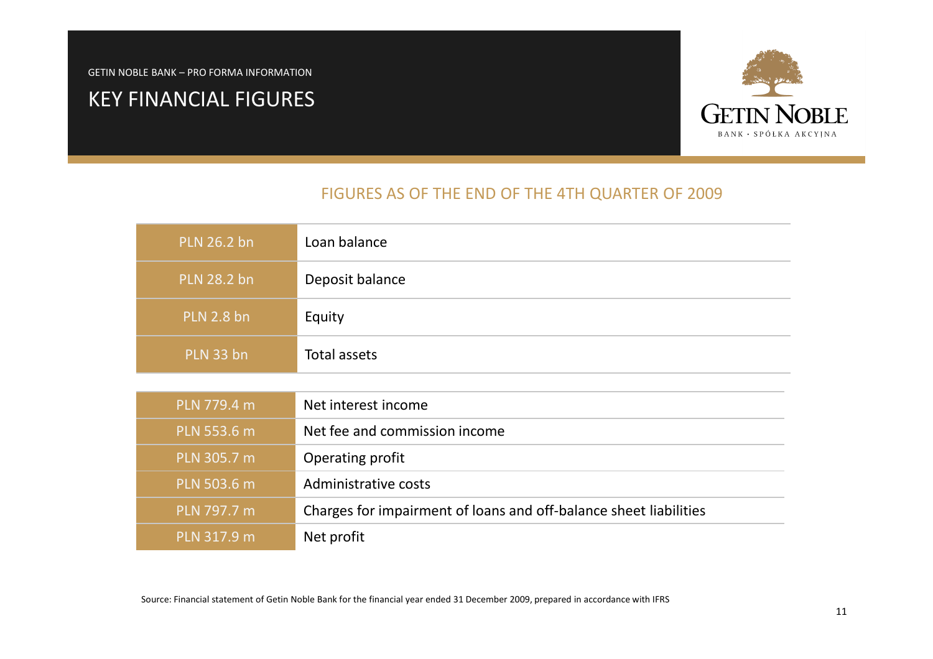# KEY FINANCIAL FIGURES



#### FIGURES AS OF THE END OF THE 4TH QUARTER OF 2009

| <b>PLN 26.2 bn</b> | Loan balance                                                      |
|--------------------|-------------------------------------------------------------------|
| <b>PLN 28.2 bn</b> | Deposit balance                                                   |
| <b>PLN 2.8 bn</b>  | Equity                                                            |
| PLN 33 bn          | Total assets                                                      |
|                    |                                                                   |
| PLN 779.4 m        | Net interest income                                               |
| PLN 553.6 m        | Net fee and commission income                                     |
| PLN 305.7 m        | Operating profit                                                  |
| PLN 503.6 m        | Administrative costs                                              |
| PLN 797.7 m        | Charges for impairment of loans and off-balance sheet liabilities |
| PLN 317.9 m        | Net profit                                                        |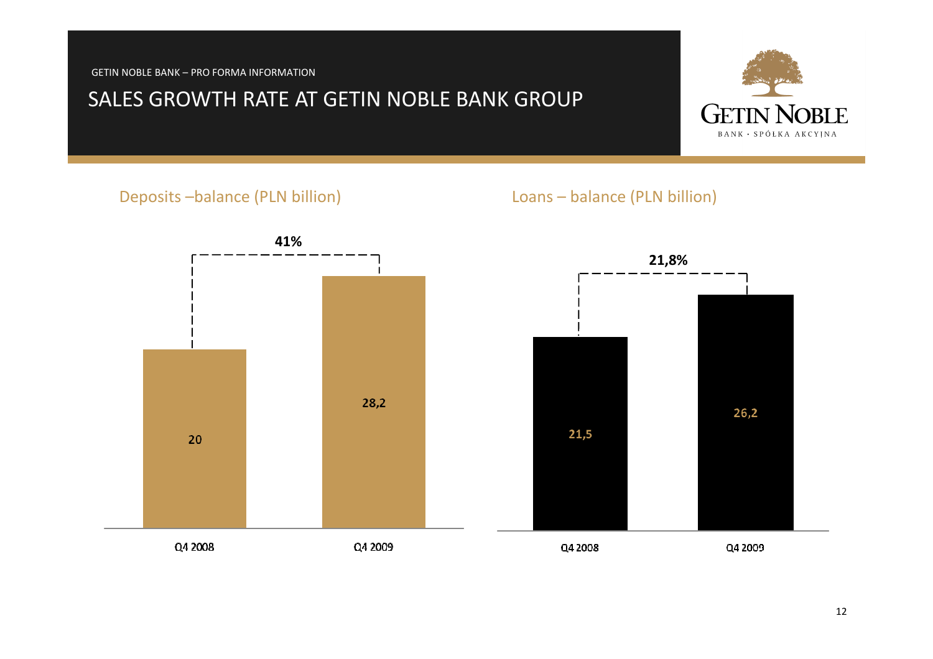#### SALES GROWTH RATE AT GETIN NOBLE BANK GROUP

#### Deposits –balance (PLN billion)

#### Loans – balance (PLN billion)



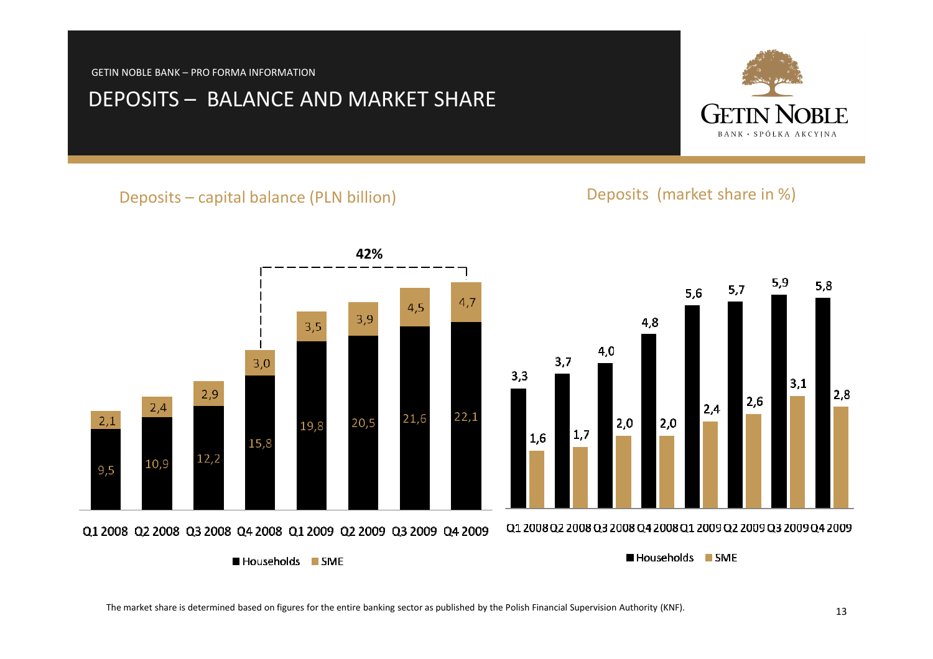#### DEPOSITS – BALANCE AND MARKET SHARE

#### Deposits – capital balance (PLN billion) Deposits (market share in %)

 $5,6$ 

 $2,4$ 

4,8

 $4,0$ 

 $2,0$ 

 $3,7$ 

 $3,3$ 

 $2,9$  $2,4$  $22,1$ 21.6  $2,1$ 20.5 19.8  $|1,7\rangle$ 1,6 15,8  $12,2$ 10.9  $9,5$ Q1 2008 Q2 2008 Q3 2008 Q4 2008 Q1 2009 Q2 2009 Q3 2009 Q4 2009

Households SME

 $|2,0|$ 

The market share is determined based on figures for the entire banking sector as published by the Polish Financial Supervision Authority (KNF).



 $5,9$ 

 $3,1$ 

 $5,7$ 

 $2,6$ 

 $5,8$ 

 $2,8$ 



Households SME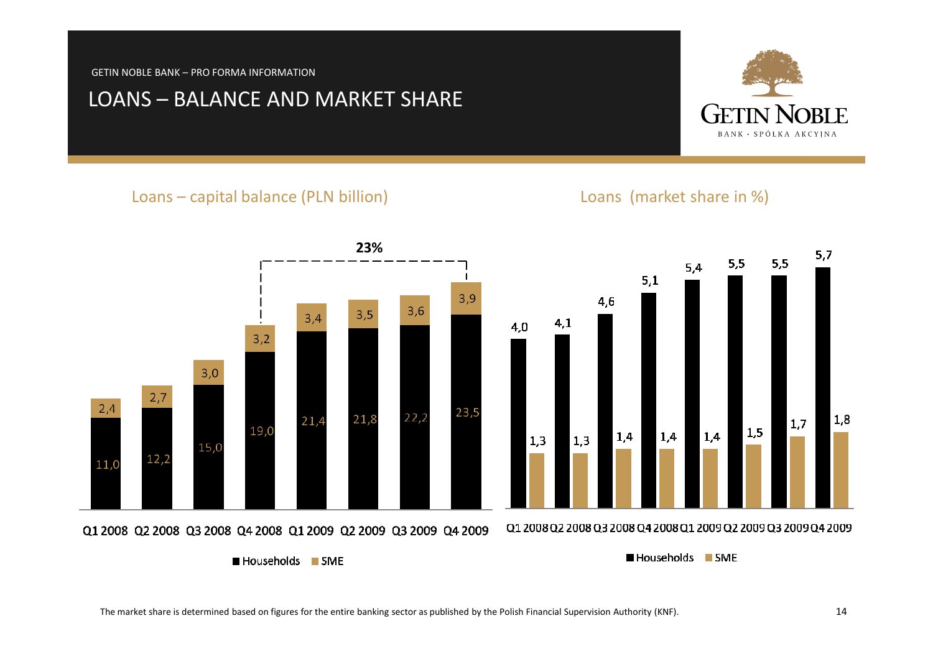#### LOANS – BALANCE AND MARKET SHARE

#### Loans – capital balance (PLN billion) Loans (market share in %)

 $\blacksquare$  Households  $\blacksquare$  SME



Households SME

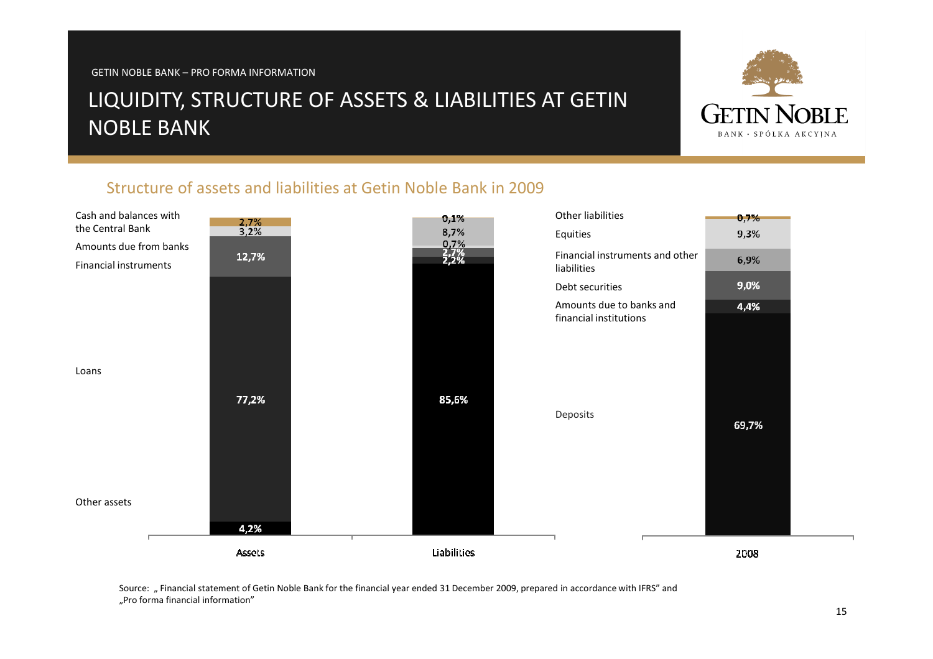# LIQUIDITY, STRUCTURE OF ASSETS & LIABILITIES AT GETIN NOBLE BANK



#### Structure of assets and liabilities at Getin Noble Bank in 2009



Source: " Financial statement of Getin Noble Bank for the financial year ended 31 December 2009, prepared in accordance with IFRS" and "Pro forma financial information"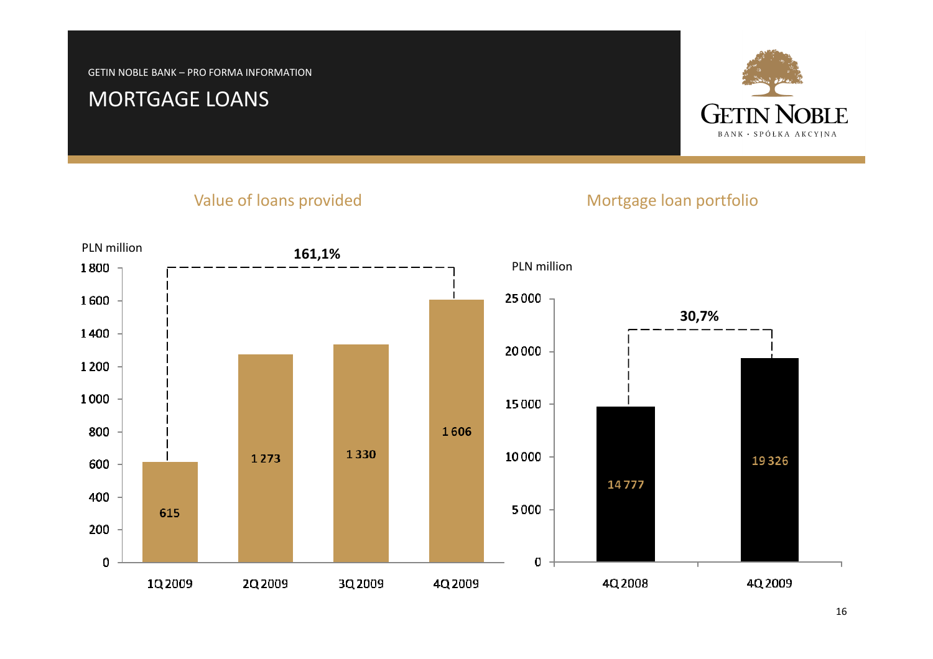#### MORTGAGE LOANS



#### Value of loans provided

#### Mortgage loan portfolio

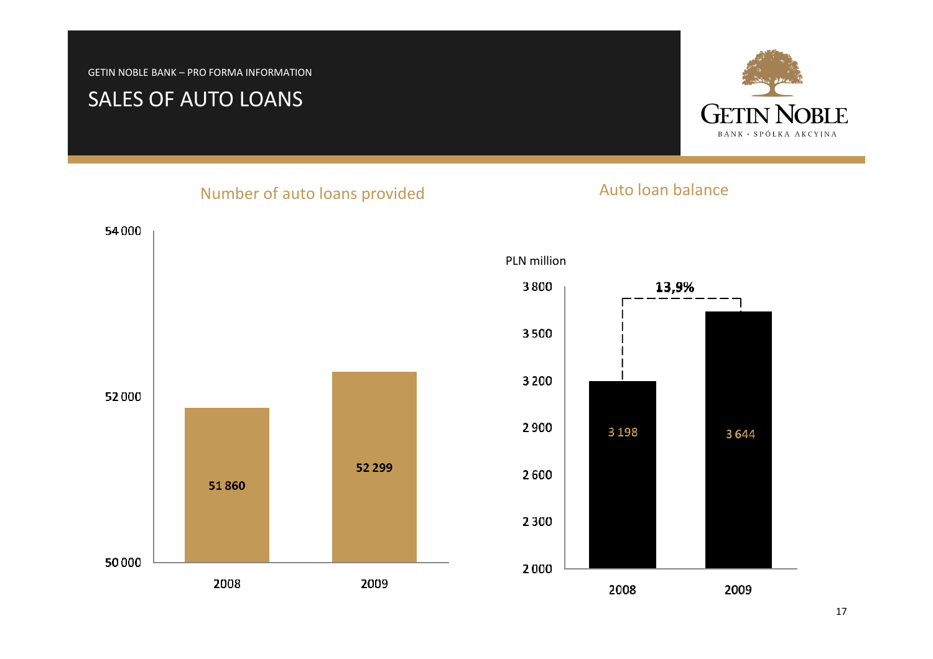# SALES OF AUTO LOANS



#### Number of auto loans provided



# Auto loan balance

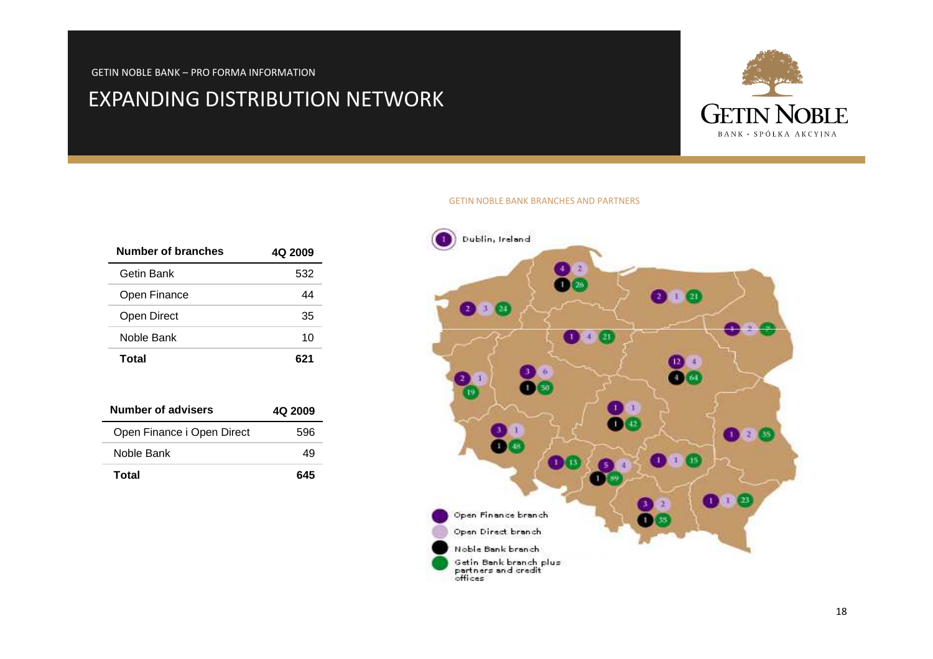#### EXPANDING DISTRIBUTION NETWORK



| Number of branches | 4Q 2009 |
|--------------------|---------|
| Getin Bank         | 532     |
| Open Finance       | 44      |
| Open Direct        | 35      |
| Noble Bank         | 10      |
| Total              | 671     |

| <b>Number of advisers</b>  | 4Q 2009 |
|----------------------------|---------|
| Open Finance i Open Direct | 596     |
| Noble Bank                 |         |
| Total                      | 645     |

#### GETIN NOBLE BANK BRANCHES AND PARTNERS